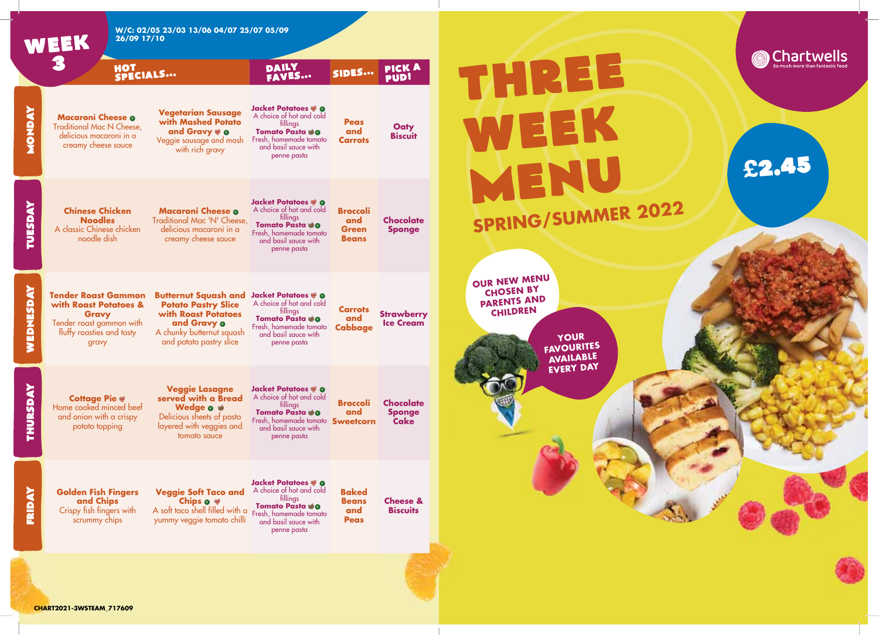

**Chartwells**